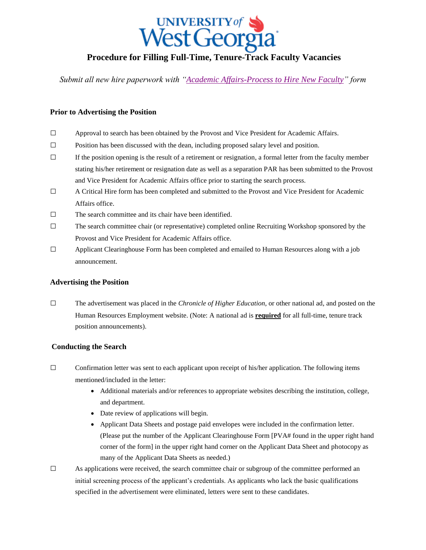

# **Procedure for Filling Full-Time, Tenure-Track Faculty Vacancies**

*Submit all new hire paperwork with ["Academic Affairs-Process to Hire New Faculty"](http://www.westga.edu/assetsDept/vpaa/Process_to_Hire_New_Faculty_-_Oct_2013.pdf) form*

### **Prior to Advertising the Position**

- □ Approval to search has been obtained by the Provost and Vice President for Academic Affairs.
- $\square$  Position has been discussed with the dean, including proposed salary level and position.
- $\Box$  If the position opening is the result of a retirement or resignation, a formal letter from the faculty member stating his/her retirement or resignation date as well as a separation PAR has been submitted to the Provost and Vice President for Academic Affairs office prior to starting the search process.
- □ A Critical Hire form has been completed and submitted to the Provost and Vice President for Academic Affairs office.
- □ The search committee and its chair have been identified.
- $\square$  The search committee chair (or representative) completed online Recruiting Workshop sponsored by the Provost and Vice President for Academic Affairs office.
- $\square$  Applicant Clearinghouse Form has been completed and emailed to Human Resources along with a job announcement.

#### **Advertising the Position**

□ The advertisement was placed in the *Chronicle of Higher Education*, or other national ad, and posted on the Human Resources Employment website. (Note: A national ad is **required** for all full-time, tenure track position announcements).

#### **Conducting the Search**

- $\Box$  Confirmation letter was sent to each applicant upon receipt of his/her application. The following items mentioned/included in the letter:
	- Additional materials and/or references to appropriate websites describing the institution, college, and department.
	- Date review of applications will begin.
	- Applicant Data Sheets and postage paid envelopes were included in the confirmation letter. (Please put the number of the Applicant Clearinghouse Form [PVA# found in the upper right hand corner of the form] in the upper right hand corner on the Applicant Data Sheet and photocopy as many of the Applicant Data Sheets as needed.)
- $\square$  As applications were received, the search committee chair or subgroup of the committee performed an initial screening process of the applicant's credentials. As applicants who lack the basic qualifications specified in the advertisement were eliminated, letters were sent to these candidates.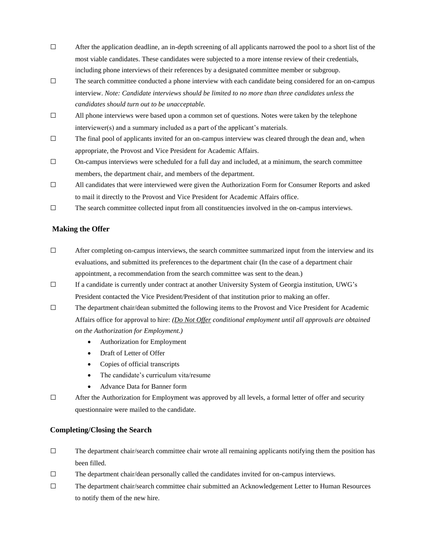- $\Box$  After the application deadline, an in-depth screening of all applicants narrowed the pool to a short list of the most viable candidates. These candidates were subjected to a more intense review of their credentials, including phone interviews of their references by a designated committee member or subgroup.
- $\square$  The search committee conducted a phone interview with each candidate being considered for an on-campus interview. *Note: Candidate interviews should be limited to no more than three candidates unless the candidates should turn out to be unacceptable.*
- $\Box$  All phone interviews were based upon a common set of questions. Notes were taken by the telephone interviewer(s) and a summary included as a part of the applicant's materials.
- $\square$  The final pool of applicants invited for an on-campus interview was cleared through the dean and, when appropriate, the Provost and Vice President for Academic Affairs.
- $\Box$  On-campus interviews were scheduled for a full day and included, at a minimum, the search committee members, the department chair, and members of the department.
- $\Box$  All candidates that were interviewed were given the Authorization Form for Consumer Reports and asked to mail it directly to the Provost and Vice President for Academic Affairs office.
- $\square$  The search committee collected input from all constituencies involved in the on-campus interviews.

## **Making the Offer**

- $\Box$  After completing on-campus interviews, the search committee summarized input from the interview and its evaluations, and submitted its preferences to the department chair (In the case of a department chair appointment, a recommendation from the search committee was sent to the dean.)
- $\Box$  If a candidate is currently under contract at another University System of Georgia institution, UWG's President contacted the Vice President/President of that institution prior to making an offer.
- $\Box$  The department chair/dean submitted the following items to the Provost and Vice President for Academic Affairs office for approval to hire: *(Do Not Offer conditional employment until all approvals are obtained on the Authorization for Employment.)*
	- Authorization for Employment
	- Draft of Letter of Offer
	- Copies of official transcripts
	- The candidate's curriculum vita/resume
	- Advance Data for Banner form
- □ After the Authorization for Employment was approved by all levels, a formal letter of offer and security questionnaire were mailed to the candidate.

#### **Completing/Closing the Search**

- $\square$  The department chair/search committee chair wrote all remaining applicants notifying them the position has been filled.
- $\Box$  The department chair/dean personally called the candidates invited for on-campus interviews.
- □ The department chair/search committee chair submitted an Acknowledgement Letter to Human Resources to notify them of the new hire.